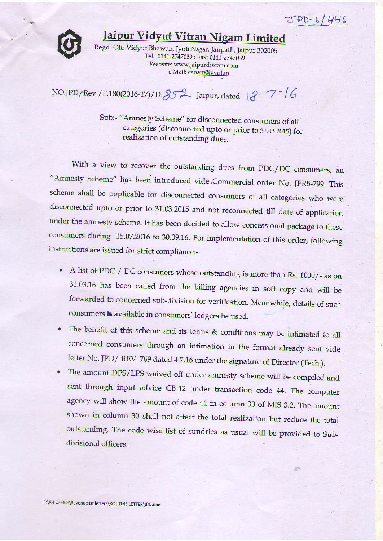$JPD-6/446$ 



## Iaipur Vidyut Vitran Nigam Limited

Regd. Off: Vidyut Bhawan, Jyoti Nagar, Janpath, Jaipur 302005 Tel.: 0141-2747039 : Fax: 0141-2747039 Website: www.jaipurdiscom.com e.Mail: caoatr@jvvnl.in

NO.JPD/Rev./F.180 (2016-17) / D.  $852$  Jaipur, dated  $8 - 7 - 16$ 

Sub:- "Amnesty Scheme" for disconnected consumers of all categories (disconnected upto or prior to 31.03.2015) for realization of outstanding dues.

With a view to recover the outstanding dues from PDC/DC consumers, an "Amnesty Scheme" has been introduced vide Commercial order No. JPR5-799. This scheme shall be applicable for disconnected consumers of all categories who were disconnected upto or prior to 31.03.2015 and not reconnected till date of application under the amnesty scheme. It has been decided to allow concessional package to these consumers duting 15.07.2016 to 30.09.16. For implementation of this order, following instructions are issued for strict compliance:-

- A list of PDC / DC consumers whose outstanding is more than Rs. 1000/- as on 31.03.16 has been called from the billing agencies in soft copy and will be forwarded to concerned sub-division for verification. Meanwhile, details of such consumers is available in consumers' ledgers be used.
- o The benefit of this scheme and its terms & conditions may be intimated to all concemed consumers through an intimation in the format already sent vide letter No. JPD/ REV. 769 dated 4.7.16 under the signature of Director (Tech.).
- The amount DPS/LPS waived off under amnesty scheme will be compiled and sent through input advice CB-12 under transaction code 44. The computer agency will show the amount of code 44 in column 30 of MIS 3.2. The amount shown in columa 30 shall not affect the total realization but reduce the total outstanding. The code wise list of sundries as usual will be provided to Subdivisional officers.

47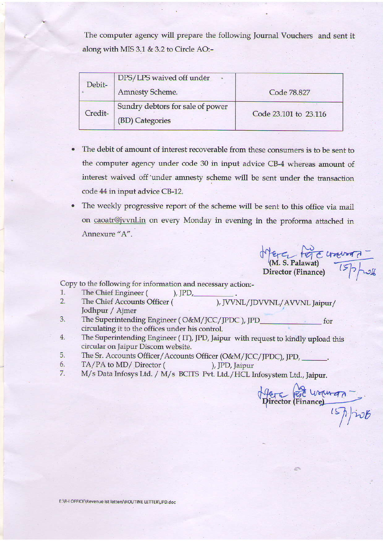The computer agency will prepare the following Journal Vouchers and sent it along with MIS 3.1 & 3.2 to Circle AO:-

| Debit-  | DPS/LPS waived off under<br><b>Amnesty Scheme.</b>  | Code 78.827           |
|---------|-----------------------------------------------------|-----------------------|
| Credit- | Sundry debtors for sale of power<br>(BD) Categories | Code 23.101 to 23.116 |

- The debit of amount of interest recoverable from these consumers is to be sent to the computer agency under code 30 in input advice CB-4 whereas amount of interest waived off under amnesty scheme will be sent under the transaction code 44 in input advice CB-12.
- The weekly progressive report of the scheme will be sent to this office via mail on caoatr@jvvnl.in on every Monday in evening in the proforma attached in Annexure "A".

Merci force univers -

Copy to the following for information and necessary action:-

- The Chief Engineer ( 1.
- ), JVVNL/JDVVNL/AVVNL Jaipur/  $2.$ The Chief Accounts Officer ( Jodhpur / Ajmer

),  $JPD$ ,

- The Superintending Engineer (O&M/JCC/JPDC), JPD\_ 3. for circulating it to the offices under his control.
- $4.$ The Superintending Engineer (IT), JPD, Jaipur with request to kindly upload this circular on Jaipur Discom website.
- The Sr. Accounts Officer/Accounts Officer (O&M/JCC/JPDC), JPD, 5.
- 6. TA/PA to MD/ Director ( ), JPD, Jaipur
- M/s Data Infosys Ltd. / M/s BCITS Pvt. Ltd./HCL Infosystem Ltd., Jaipur. 7.

Afera Por Worman